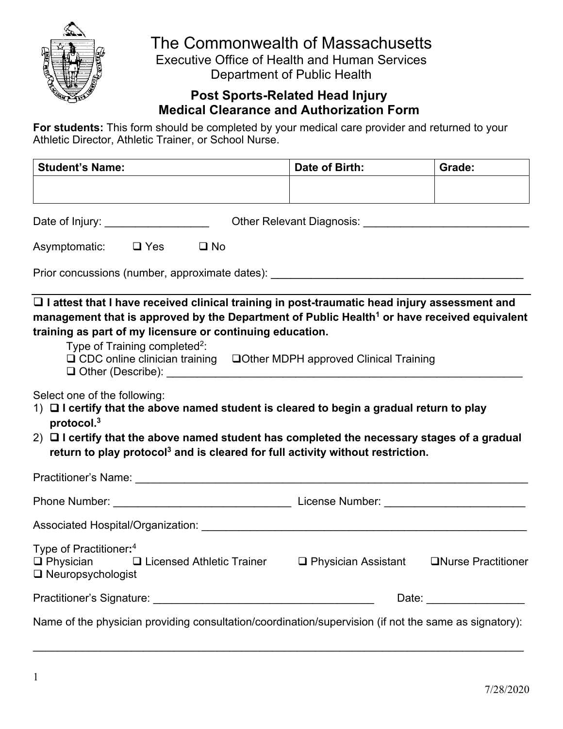

# The Commonwealth of Massachusetts

Executive Office of Health and Human Services Department of Public Health

## **Post Sports-Related Head Injury Medical Clearance and Authorization Form**

**For students:** This form should be completed by your medical care provider and returned to your Athletic Director, Athletic Trainer, or School Nurse.

| <b>Student's Name:</b> | Date of Birth: | Grade: |
|------------------------|----------------|--------|
|                        |                |        |
|                        |                |        |

| Asymptomatic: | $\Box$ Yes | $\square$ No |
|---------------|------------|--------------|
|               |            |              |

Prior concussions (number, approximate dates): \_\_\_\_\_\_\_\_\_\_\_\_\_\_\_\_\_\_\_\_\_\_\_\_\_\_\_\_\_\_\_\_\_

q **I attest that I have received clinical training in post-traumatic head injury assessment and**  management that is approved by the Department of Public Health<sup>1</sup> or have received equivalent **training as part of my licensure or continuing education.**

| Type of Training completed <sup>2</sup> : |                                        |
|-------------------------------------------|----------------------------------------|
| $\Box$ CDC online clinician training      | □Other MDPH approved Clinical Training |
| $\Box$ Other (Describe):                  |                                        |

Select one of the following:

- 1)  $\Box$  I certify that the above named student is cleared to begin a gradual return to play **protocol. 3**
- 2) q **I certify that the above named student has completed the necessary stages of a gradual return to play protocol3 and is cleared for full activity without restriction.**

| <b>Practitioner's Name:</b>                                                                                         |                                         |                     |
|---------------------------------------------------------------------------------------------------------------------|-----------------------------------------|---------------------|
|                                                                                                                     | License Number: _______________________ |                     |
| Associated Hospital/Organization:                                                                                   |                                         |                     |
| Type of Practitioner: <sup>4</sup><br>$\Box$ Physician $\Box$ Licensed Athletic Trainer<br>$\Box$ Neuropsychologist | $\Box$ Physician Assistant              | □Nurse Practitioner |
|                                                                                                                     | Date: ________________                  |                     |
| Name of the physician providing consultation/coordination/supervision (if not the same as signatory):               |                                         |                     |

 $\mathcal{L}_\text{max} = \frac{1}{2} \sum_{i=1}^{n} \frac{1}{2} \sum_{i=1}^{n} \frac{1}{2} \sum_{i=1}^{n} \frac{1}{2} \sum_{i=1}^{n} \frac{1}{2} \sum_{i=1}^{n} \frac{1}{2} \sum_{i=1}^{n} \frac{1}{2} \sum_{i=1}^{n} \frac{1}{2} \sum_{i=1}^{n} \frac{1}{2} \sum_{i=1}^{n} \frac{1}{2} \sum_{i=1}^{n} \frac{1}{2} \sum_{i=1}^{n} \frac{1}{2} \sum_{i=1}^{n} \frac{1$